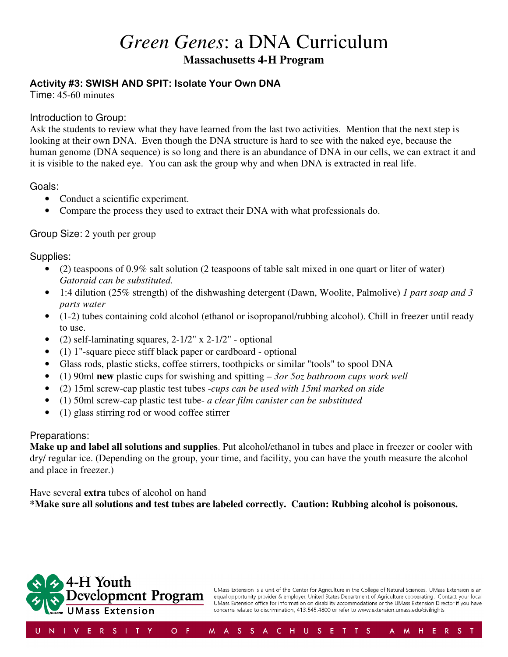# *Green Genes*: a DNA Curriculum

**Massachusetts 4-H Program** 

# Activity #3: SWISH AND SPIT: Isolate Your Own DNA

Time: 45-60 minutes

#### Introduction to Group:

Ask the students to review what they have learned from the last two activities. Mention that the next step is looking at their own DNA. Even though the DNA structure is hard to see with the naked eye, because the human genome (DNA sequence) is so long and there is an abundance of DNA in our cells, we can extract it and it is visible to the naked eye. You can ask the group why and when DNA is extracted in real life.

#### Goals:

- Conduct a scientific experiment.
- Compare the process they used to extract their DNA with what professionals do.

# Group Size: 2 youth per group

Supplies:

- (2) teaspoons of 0.9% salt solution (2 teaspoons of table salt mixed in one quart or liter of water) *Gatoraid can be substituted.*
- 1:4 dilution (25% strength) of the dishwashing detergent (Dawn, Woolite, Palmolive) *1 part soap and 3 parts water*
- (1-2) tubes containing cold alcohol (ethanol or isopropanol/rubbing alcohol). Chill in freezer until ready to use.
- (2) self-laminating squares,  $2-1/2$ " x  $2-1/2$ " optional
- (1) 1"-square piece stiff black paper or cardboard optional
- Glass rods, plastic sticks, coffee stirrers, toothpicks or similar "tools" to spool DNA
- (1) 90ml **new** plastic cups for swishing and spitting  *3or 5oz bathroom cups work well*
- (2) 15ml screw-cap plastic test tubes -*cups can be used with 15ml marked on side*
- (1) 50ml screw-cap plastic test tube- *a clear film canister can be substituted*
- (1) glass stirring rod or wood coffee stirrer

# Preparations:

**Make up and label all solutions and supplies**. Put alcohol/ethanol in tubes and place in freezer or cooler with dry/ regular ice. (Depending on the group, your time, and facility, you can have the youth measure the alcohol and place in freezer.)

Have several **extra** tubes of alcohol on hand

**\*Make sure all solutions and test tubes are labeled correctly. Caution: Rubbing alcohol is poisonous.**

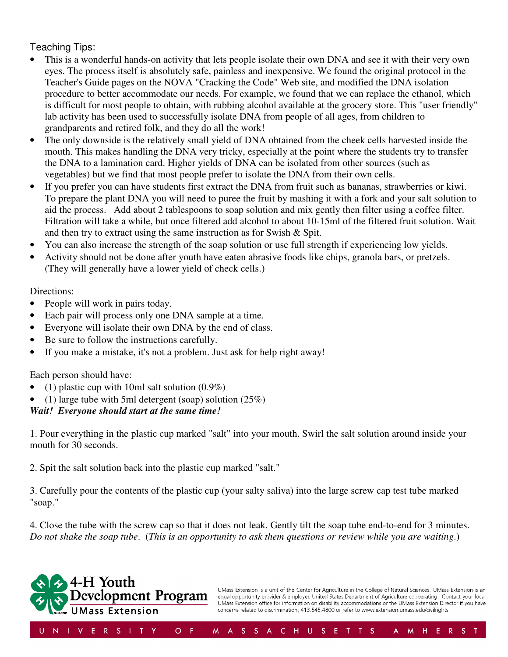# Teaching Tips:

- This is a wonderful hands-on activity that lets people isolate their own DNA and see it with their very own eyes. The process itself is absolutely safe, painless and inexpensive. We found the original protocol in the Teacher's Guide pages on the NOVA "Cracking the Code" Web site, and modified the DNA isolation procedure to better accommodate our needs. For example, we found that we can replace the ethanol, which is difficult for most people to obtain, with rubbing alcohol available at the grocery store. This "user friendly" lab activity has been used to successfully isolate DNA from people of all ages, from children to grandparents and retired folk, and they do all the work!
- The only downside is the relatively small yield of DNA obtained from the cheek cells harvested inside the mouth. This makes handling the DNA very tricky, especially at the point where the students try to transfer the DNA to a lamination card. Higher yields of DNA can be isolated from other sources (such as vegetables) but we find that most people prefer to isolate the DNA from their own cells.
- If you prefer you can have students first extract the DNA from fruit such as bananas, strawberries or kiwi. To prepare the plant DNA you will need to puree the fruit by mashing it with a fork and your salt solution to aid the process. Add about 2 tablespoons to soap solution and mix gently then filter using a coffee filter. Filtration will take a while, but once filtered add alcohol to about 10-15ml of the filtered fruit solution. Wait and then try to extract using the same instruction as for Swish & Spit.
- You can also increase the strength of the soap solution or use full strength if experiencing low yields.
- Activity should not be done after youth have eaten abrasive foods like chips, granola bars, or pretzels. (They will generally have a lower yield of check cells.)

#### Directions:

- People will work in pairs today.
- Each pair will process only one DNA sample at a time.
- Everyone will isolate their own DNA by the end of class.
- Be sure to follow the instructions carefully.
- If you make a mistake, it's not a problem. Just ask for help right away!

Each person should have:

- (1) plastic cup with 10ml salt solution  $(0.9\%)$
- (1) large tube with 5ml detergent (soap) solution  $(25%)$

# *Wait! Everyone should start at the same time!*

1. Pour everything in the plastic cup marked "salt" into your mouth. Swirl the salt solution around inside your mouth for 30 seconds.

2. Spit the salt solution back into the plastic cup marked "salt."

3. Carefully pour the contents of the plastic cup (your salty saliva) into the large screw cap test tube marked "soap."

4. Close the tube with the screw cap so that it does not leak. Gently tilt the soap tube end-to-end for 3 minutes. *Do not shake the soap tube*. (*This is an opportunity to ask them questions or review while you are waiting*.)

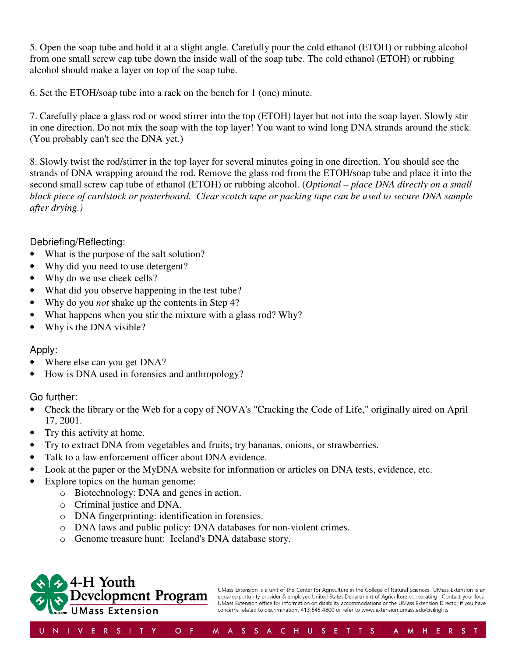5. Open the soap tube and hold it at a slight angle. Carefully pour the cold ethanol (ETOH) or rubbing alcohol from one small screw cap tube down the inside wall of the soap tube. The cold ethanol (ETOH) or rubbing alcohol should make a layer on top of the soap tube.

6. Set the ETOH/soap tube into a rack on the bench for 1 (one) minute.

7. Carefully place a glass rod or wood stirrer into the top (ETOH) layer but not into the soap layer. Slowly stir in one direction. Do not mix the soap with the top layer! You want to wind long DNA strands around the stick. (You probably can't see the DNA yet.)

8. Slowly twist the rod/stirrer in the top layer for several minutes going in one direction. You should see the strands of DNA wrapping around the rod. Remove the glass rod from the ETOH/soap tube and place it into the second small screw cap tube of ethanol (ETOH) or rubbing alcohol. (*Optional – place DNA directly on a small black piece of cardstock or posterboard. Clear scotch tape or packing tape can be used to secure DNA sample after drying.)* 

#### Debriefing/Reflecting:

- What is the purpose of the salt solution?
- Why did you need to use detergent?
- Why do we use cheek cells?
- What did you observe happening in the test tube?
- Why do you *not* shake up the contents in Step 4?
- What happens when you stir the mixture with a glass rod? Why?
- Why is the DNA visible?

# Apply:

- Where else can you get DNA?
- How is DNA used in forensics and anthropology?

#### Go further:

- Check the library or the Web for a copy of NOVA's "Cracking the Code of Life," originally aired on April 17, 2001.
- Try this activity at home.
- Try to extract DNA from vegetables and fruits; try bananas, onions, or strawberries.
- Talk to a law enforcement officer about DNA evidence.
- Look at the paper or the MyDNA website for information or articles on DNA tests, evidence, etc.
- Explore topics on the human genome:
	- o Biotechnology: DNA and genes in action.
	- o Criminal justice and DNA.
	- o DNA fingerprinting: identification in forensics.
	- o DNA laws and public policy: DNA databases for non-violent crimes.
	- o Genome treasure hunt: Iceland's DNA database story.